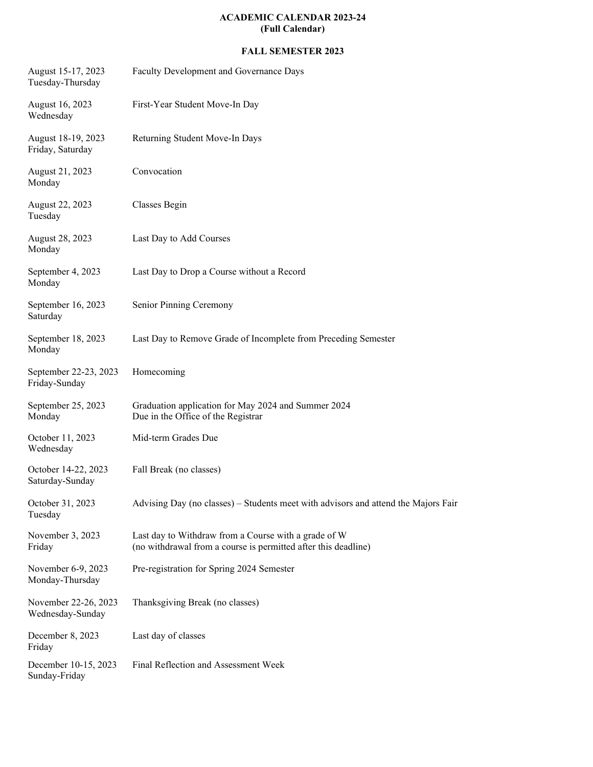## **ACADEMIC CALENDAR 2023-24 (Full Calendar)**

## **FALL SEMESTER 2023**

| August 15-17, 2023<br>Tuesday-Thursday   | Faculty Development and Governance Days                                                                                |
|------------------------------------------|------------------------------------------------------------------------------------------------------------------------|
| August 16, 2023<br>Wednesday             | First-Year Student Move-In Day                                                                                         |
| August 18-19, 2023<br>Friday, Saturday   | Returning Student Move-In Days                                                                                         |
| August 21, 2023<br>Monday                | Convocation                                                                                                            |
| August 22, 2023<br>Tuesday               | Classes Begin                                                                                                          |
| August 28, 2023<br>Monday                | Last Day to Add Courses                                                                                                |
| September 4, 2023<br>Monday              | Last Day to Drop a Course without a Record                                                                             |
| September 16, 2023<br>Saturday           | Senior Pinning Ceremony                                                                                                |
| September 18, 2023<br>Monday             | Last Day to Remove Grade of Incomplete from Preceding Semester                                                         |
| September 22-23, 2023<br>Friday-Sunday   | Homecoming                                                                                                             |
| September 25, 2023<br>Monday             | Graduation application for May 2024 and Summer 2024<br>Due in the Office of the Registrar                              |
| October 11, 2023<br>Wednesday            | Mid-term Grades Due                                                                                                    |
| October 14-22, 2023<br>Saturday-Sunday   | Fall Break (no classes)                                                                                                |
| October 31, 2023<br>Tuesday              | Advising Day (no classes) – Students meet with advisors and attend the Majors Fair                                     |
| November 3, 2023<br>Friday               | Last day to Withdraw from a Course with a grade of W<br>(no withdrawal from a course is permitted after this deadline) |
| November 6-9, 2023<br>Monday-Thursday    | Pre-registration for Spring 2024 Semester                                                                              |
| November 22-26, 2023<br>Wednesday-Sunday | Thanksgiving Break (no classes)                                                                                        |
| December 8, 2023<br>Friday               | Last day of classes                                                                                                    |
| December 10-15, 2023<br>Sunday-Friday    | Final Reflection and Assessment Week                                                                                   |